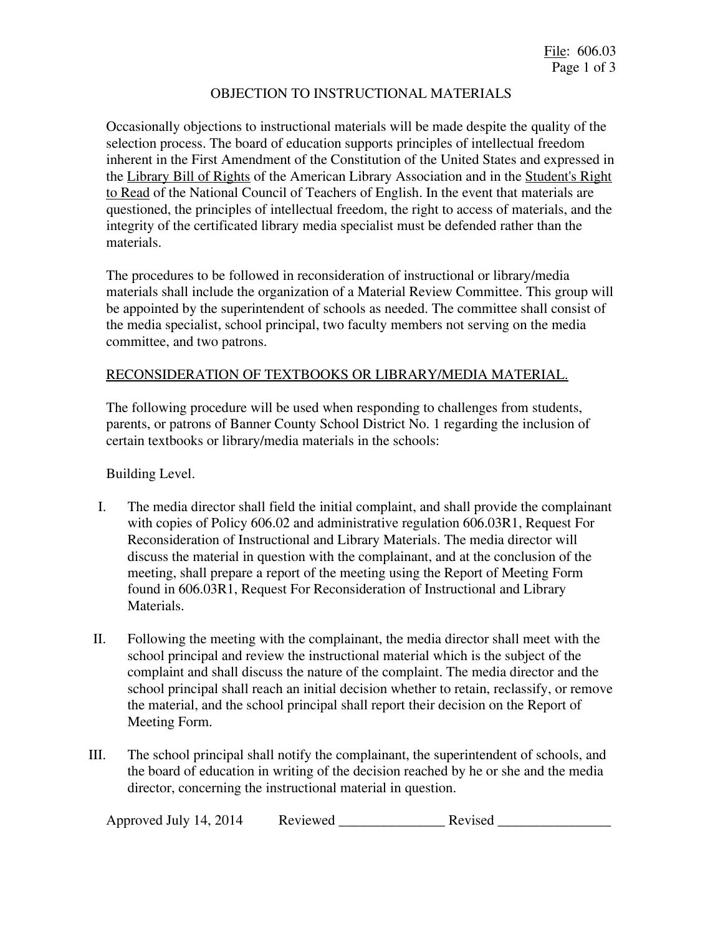## OBJECTION TO INSTRUCTIONAL MATERIALS

Occasionally objections to instructional materials will be made despite the quality of the selection process. The board of education supports principles of intellectual freedom inherent in the First Amendment of the Constitution of the United States and expressed in the Library Bill of Rights of the American Library Association and in the Student's Right to Read of the National Council of Teachers of English. In the event that materials are questioned, the principles of intellectual freedom, the right to access of materials, and the integrity of the certificated library media specialist must be defended rather than the materials.

The procedures to be followed in reconsideration of instructional or library/media materials shall include the organization of a Material Review Committee. This group will be appointed by the superintendent of schools as needed. The committee shall consist of the media specialist, school principal, two faculty members not serving on the media committee, and two patrons.

## RECONSIDERATION OF TEXTBOOKS OR LIBRARY/MEDIA MATERIAL.

The following procedure will be used when responding to challenges from students, parents, or patrons of Banner County School District No. 1 regarding the inclusion of certain textbooks or library/media materials in the schools:

Building Level.

- I. The media director shall field the initial complaint, and shall provide the complainant with copies of Policy 606.02 and administrative regulation 606.03R1, Request For Reconsideration of Instructional and Library Materials. The media director will discuss the material in question with the complainant, and at the conclusion of the meeting, shall prepare a report of the meeting using the Report of Meeting Form found in 606.03R1, Request For Reconsideration of Instructional and Library Materials.
- II. Following the meeting with the complainant, the media director shall meet with the school principal and review the instructional material which is the subject of the complaint and shall discuss the nature of the complaint. The media director and the school principal shall reach an initial decision whether to retain, reclassify, or remove the material, and the school principal shall report their decision on the Report of Meeting Form.
- III. The school principal shall notify the complainant, the superintendent of schools, and the board of education in writing of the decision reached by he or she and the media director, concerning the instructional material in question.

| Approved July 14, 2014 | Reviewed | Revised |
|------------------------|----------|---------|
|------------------------|----------|---------|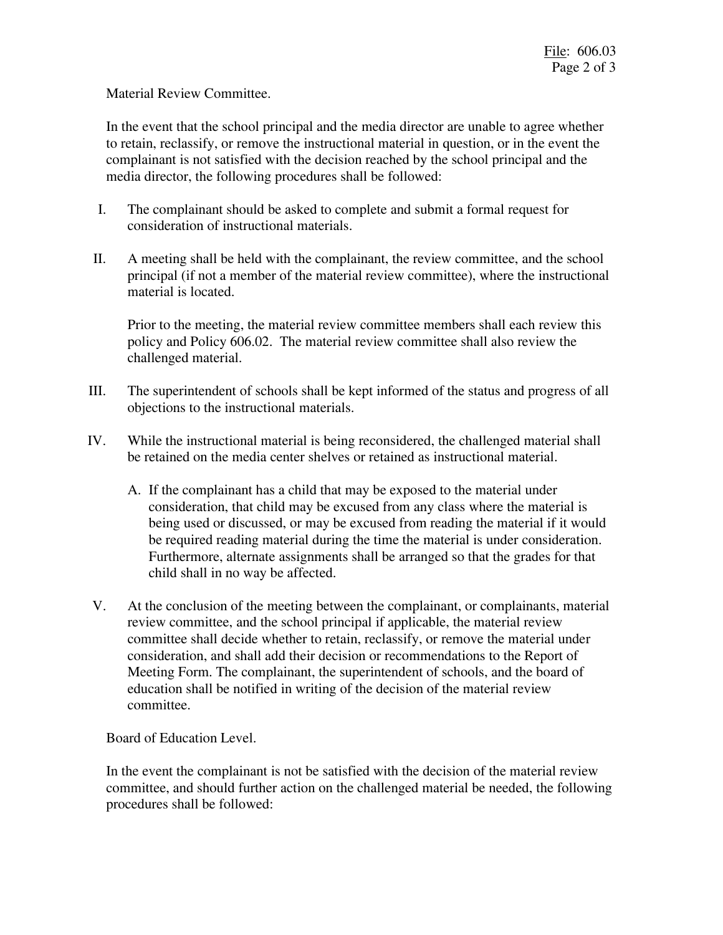Material Review Committee.

In the event that the school principal and the media director are unable to agree whether to retain, reclassify, or remove the instructional material in question, or in the event the complainant is not satisfied with the decision reached by the school principal and the media director, the following procedures shall be followed:

- I. The complainant should be asked to complete and submit a formal request for consideration of instructional materials.
- II. A meeting shall be held with the complainant, the review committee, and the school principal (if not a member of the material review committee), where the instructional material is located.

Prior to the meeting, the material review committee members shall each review this policy and Policy 606.02. The material review committee shall also review the challenged material.

- III. The superintendent of schools shall be kept informed of the status and progress of all objections to the instructional materials.
- IV. While the instructional material is being reconsidered, the challenged material shall be retained on the media center shelves or retained as instructional material.
	- A. If the complainant has a child that may be exposed to the material under consideration, that child may be excused from any class where the material is being used or discussed, or may be excused from reading the material if it would be required reading material during the time the material is under consideration. Furthermore, alternate assignments shall be arranged so that the grades for that child shall in no way be affected.
- V. At the conclusion of the meeting between the complainant, or complainants, material review committee, and the school principal if applicable, the material review committee shall decide whether to retain, reclassify, or remove the material under consideration, and shall add their decision or recommendations to the Report of Meeting Form. The complainant, the superintendent of schools, and the board of education shall be notified in writing of the decision of the material review committee.

Board of Education Level.

In the event the complainant is not be satisfied with the decision of the material review committee, and should further action on the challenged material be needed, the following procedures shall be followed: